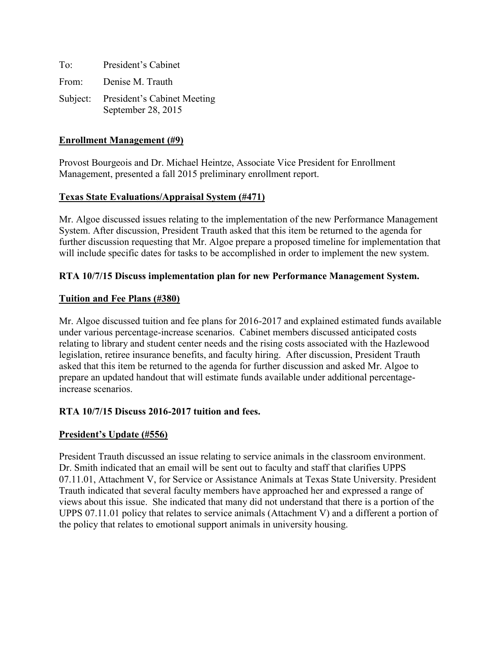| To <sup>-</sup> | President's Cabinet                                        |
|-----------------|------------------------------------------------------------|
| From:           | Denise M. Trauth                                           |
|                 | Subject: President's Cabinet Meeting<br>September 28, 2015 |

#### **Enrollment Management (#9)**

Provost Bourgeois and Dr. Michael Heintze, Associate Vice President for Enrollment Management, presented a fall 2015 preliminary enrollment report.

#### **Texas State Evaluations/Appraisal System (#471)**

Mr. Algoe discussed issues relating to the implementation of the new Performance Management System. After discussion, President Trauth asked that this item be returned to the agenda for further discussion requesting that Mr. Algoe prepare a proposed timeline for implementation that will include specific dates for tasks to be accomplished in order to implement the new system.

#### **RTA 10/7/15 Discuss implementation plan for new Performance Management System.**

#### **Tuition and Fee Plans (#380)**

Mr. Algoe discussed tuition and fee plans for 2016-2017 and explained estimated funds available under various percentage-increase scenarios. Cabinet members discussed anticipated costs relating to library and student center needs and the rising costs associated with the Hazlewood legislation, retiree insurance benefits, and faculty hiring. After discussion, President Trauth asked that this item be returned to the agenda for further discussion and asked Mr. Algoe to prepare an updated handout that will estimate funds available under additional percentageincrease scenarios.

## **RTA 10/7/15 Discuss 2016-2017 tuition and fees.**

#### **President's Update (#556)**

President Trauth discussed an issue relating to service animals in the classroom environment. Dr. Smith indicated that an email will be sent out to faculty and staff that clarifies UPPS 07.11.01, Attachment V, for Service or Assistance Animals at Texas State University. President Trauth indicated that several faculty members have approached her and expressed a range of views about this issue. She indicated that many did not understand that there is a portion of the UPPS 07.11.01 policy that relates to service animals (Attachment V) and a different a portion of the policy that relates to emotional support animals in university housing.